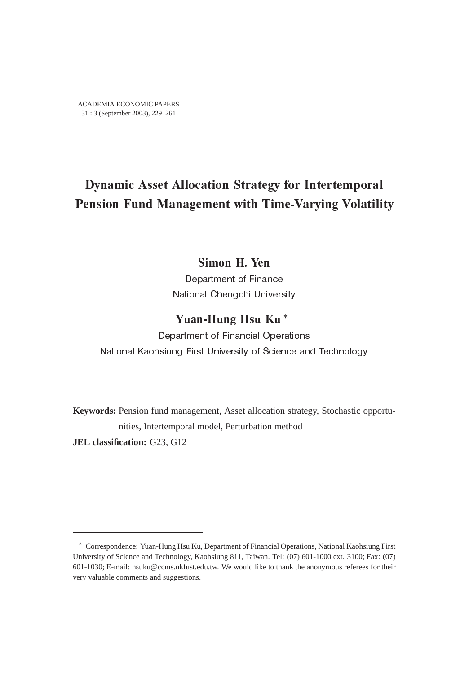# Dynamic Asset Allocation Strategy for Intertemporal Pension Fund Management with Time-Varying Volatility

# Simon H. Yen

Department of Finance National Chengchi University

# Yuan-Hung Hsu Ku ∗

Department of Financial Operations National Kaohsiung First University of Science and Technology

**Keywords:** Pension fund management, Asset allocation strategy, Stochastic opportunities, Intertemporal model, Perturbation method **JEL classification:** G23, G12

<sup>∗</sup> Correspondence: Yuan-Hung Hsu Ku, Department of Financial Operations, National Kaohsiung First University of Science and Technology, Kaohsiung 811, Taiwan. Tel: (07) 601-1000 ext. 3100; Fax: (07) 601-1030; E-mail: hsuku@ccms.nkfust.edu.tw. We would like to thank the anonymous referees for their very valuable comments and suggestions.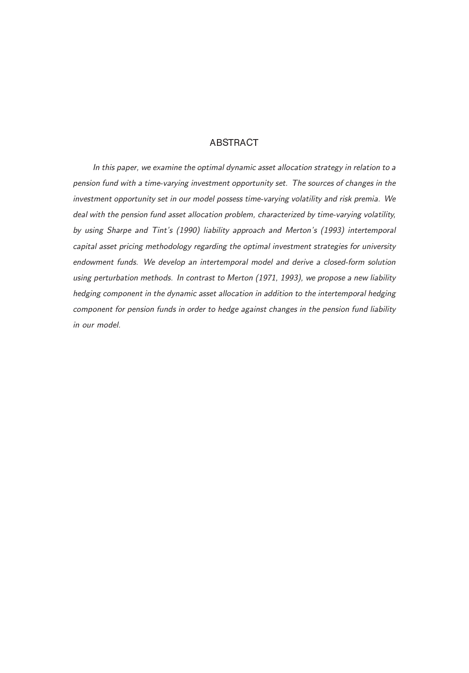## ABSTRACT

 In this paper, we examine the optimal dynamic asset allocation strategy in relation to a pension fund with a time-varying investment opportunity set. The sources of changes in the investment opportunity set in our model possess time-varying volatility and risk premia. We deal with the pension fund asset allocation problem, characterized by time-varying volatility, by using Sharpe and Tint's (1990) liability approach and Merton's (1993) intertemporal capital asset pricing methodology regarding the optimal investment strategies for university endowment funds. We develop an intertemporal model and derive a closed-form solution using perturbation methods. In contrast to Merton (1971, 1993), we propose a new liability hedging component in the dynamic asset allocation in addition to the intertemporal hedging component for pension funds in order to hedge against changes in the pension fund liability in our model.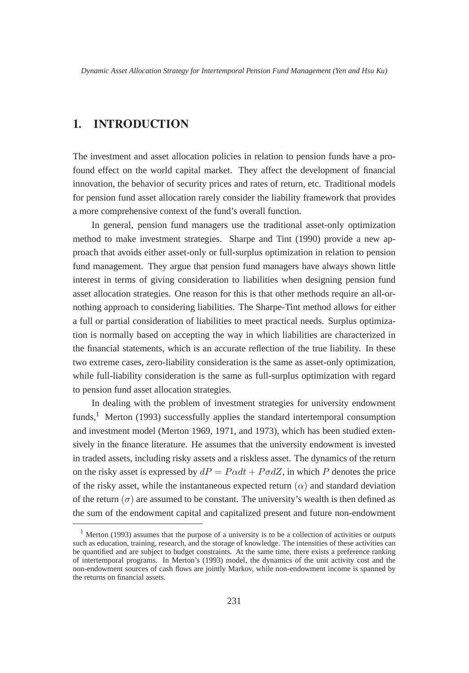### $\mathbf{1}$ **INTRODUCTION**

The investment and asset allocation policies in relation to pension funds have a profound effect on the world capital market. They affect the development of financial innovation, the behavior of security prices and rates of return, etc. Traditional models for pension fund asset allocation rarely consider the liability framework that provides a more comprehensive context of the fund's overall function.

In general, pension fund managers use the traditional asset-only optimization method to make investment strategies. Sharpe and Tint (1990) provide a new approach that avoids either asset-only or full-surplus optimization in relation to pension fund management. They argue that pension fund managers have always shown little interest in terms of giving consideration to liabilities when designing pension fund asset allocation strategies. One reason for this is that other methods require an all-ornothing approach to considering liabilities. The Sharpe-Tint method allows for either a full or partial consideration of liabilities to meet practical needs. Surplus optimization is normally based on accepting the way in which liabilities are characterized in the financial statements, which is an accurate reflection of the true liability. In these two extreme cases, zero-liability consideration is the same as asset-only optimization, while full-liability consideration is the same as full-surplus optimization with regard to pension fund asset allocation strategies.

In dealing with the problem of investment strategies for university endowment funds,<sup>1</sup> Merton (1993) successfully applies the standard intertemporal consumption and investment model (Merton 1969, 1971, and 1973), which has been studied extensively in the finance literature. He assumes that the university endowment is invested in traded assets, including risky assets and a riskless asset. The dynamics of the return on the risky asset is expressed by  $dP = P \alpha dt + P \sigma dZ$ , in which P denotes the price of the risky asset, while the instantaneous expected return  $(\alpha)$  and standard deviation of the return  $(\sigma)$  are assumed to be constant. The university's wealth is then defined as the sum of the endowment capital and capitalized present and future non-endowment

<sup>&</sup>lt;sup>1</sup> Merton (1993) assumes that the purpose of a university is to be a collection of activities or outputs such as education, training, research, and the storage of knowledge. The intensities of these activities can be quantified and are subject to budget constraints. At the same time, there exists a preference ranking of intertemporal programs. In Merton's (1993) model, the dynamics of the unit activity cost and the non-endowment sources of cash flows are jointly Markov, while non-endowment income is spanned by the returns on financial assets.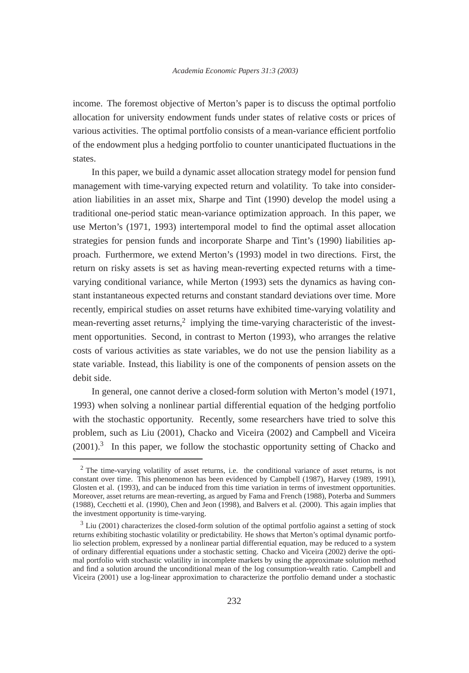income. The foremost objective of Merton's paper is to discuss the optimal portfolio allocation for university endowment funds under states of relative costs or prices of various activities. The optimal portfolio consists of a mean-variance efficient portfolio of the endowment plus a hedging portfolio to counter unanticipated fluctuations in the states.

In this paper, we build a dynamic asset allocation strategy model for pension fund management with time-varying expected return and volatility. To take into consideration liabilities in an asset mix, Sharpe and Tint (1990) develop the model using a traditional one-period static mean-variance optimization approach. In this paper, we use Merton's (1971, 1993) intertemporal model to find the optimal asset allocation strategies for pension funds and incorporate Sharpe and Tint's (1990) liabilities approach. Furthermore, we extend Merton's (1993) model in two directions. First, the return on risky assets is set as having mean-reverting expected returns with a timevarying conditional variance, while Merton (1993) sets the dynamics as having constant instantaneous expected returns and constant standard deviations over time. More recently, empirical studies on asset returns have exhibited time-varying volatility and mean-reverting asset returns,<sup>2</sup> implying the time-varying characteristic of the investment opportunities. Second, in contrast to Merton (1993), who arranges the relative costs of various activities as state variables, we do not use the pension liability as a state variable. Instead, this liability is one of the components of pension assets on the debit side.

In general, one cannot derive a closed-form solution with Merton's model (1971, 1993) when solving a nonlinear partial differential equation of the hedging portfolio with the stochastic opportunity. Recently, some researchers have tried to solve this problem, such as Liu (2001), Chacko and Viceira (2002) and Campbell and Viceira  $(2001)$ .<sup>3</sup> In this paper, we follow the stochastic opportunity setting of Chacko and

<sup>2</sup> The time-varying volatility of asset returns, i.e. the conditional variance of asset returns, is not constant over time. This phenomenon has been evidenced by Campbell (1987), Harvey (1989, 1991), Glosten et al. (1993), and can be induced from this time variation in terms of investment opportunities. Moreover, asset returns are mean-reverting, as argued by Fama and French (1988), Poterba and Summers (1988), Cecchetti et al. (1990), Chen and Jeon (1998), and Balvers et al. (2000). This again implies that the investment opportunity is time-varying.

<sup>&</sup>lt;sup>3</sup> Liu (2001) characterizes the closed-form solution of the optimal portfolio against a setting of stock returns exhibiting stochastic volatility or predictability. He shows that Merton's optimal dynamic portfolio selection problem, expressed by a nonlinear partial differential equation, may be reduced to a system of ordinary differential equations under a stochastic setting. Chacko and Viceira (2002) derive the optimal portfolio with stochastic volatility in incomplete markets by using the approximate solution method and find a solution around the unconditional mean of the log consumption-wealth ratio. Campbell and Viceira (2001) use a log-linear approximation to characterize the portfolio demand under a stochastic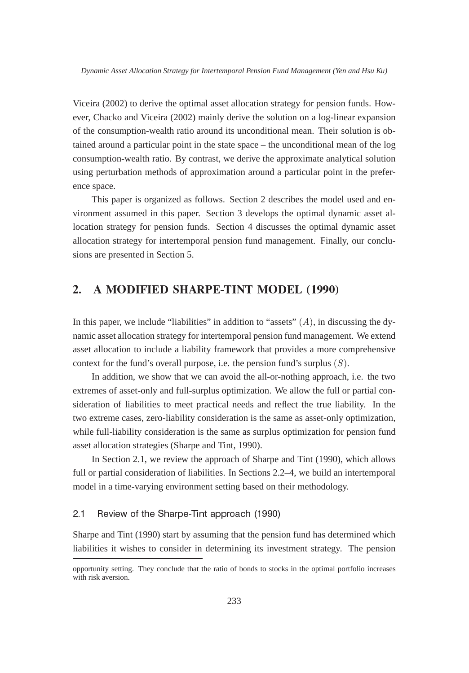Viceira (2002) to derive the optimal asset allocation strategy for pension funds. However, Chacko and Viceira (2002) mainly derive the solution on a log-linear expansion of the consumption-wealth ratio around its unconditional mean. Their solution is obtained around a particular point in the state space – the unconditional mean of the log consumption-wealth ratio. By contrast, we derive the approximate analytical solution using perturbation methods of approximation around a particular point in the preference space.

This paper is organized as follows. Section 2 describes the model used and environment assumed in this paper. Section 3 develops the optimal dynamic asset allocation strategy for pension funds. Section 4 discusses the optimal dynamic asset allocation strategy for intertemporal pension fund management. Finally, our conclusions are presented in Section 5.

### $\overline{2}$ . A MODIFIED SHARPED SHARPED SHARPED SHARPED (The Model of the Model of the Model of the Model of the Model of the Model of the Model of the Model of the Model of the Model of the Model of the Model of the Model of the Model

In this paper, we include "liabilities" in addition to "assets"  $(A)$ , in discussing the dynamic asset allocation strategy for intertemporal pension fund management. We extend asset allocation to include a liability framework that provides a more comprehensive context for the fund's overall purpose, i.e. the pension fund's surplus  $(S)$ .

In addition, we show that we can avoid the all-or-nothing approach, i.e. the two extremes of asset-only and full-surplus optimization. We allow the full or partial consideration of liabilities to meet practical needs and reflect the true liability. In the two extreme cases, zero-liability consideration is the same as asset-only optimization, while full-liability consideration is the same as surplus optimization for pension fund asset allocation strategies (Sharpe and Tint, 1990).

In Section 2.1, we review the approach of Sharpe and Tint (1990), which allows full or partial consideration of liabilities. In Sections 2.2–4, we build an intertemporal model in a time-varying environment setting based on their methodology.

### $2.1$ Review of the Sharpe-Tint approach (1990)

Sharpe and Tint (1990) start by assuming that the pension fund has determined which liabilities it wishes to consider in determining its investment strategy. The pension

opportunity setting. They conclude that the ratio of bonds to stocks in the optimal portfolio increases with risk aversion.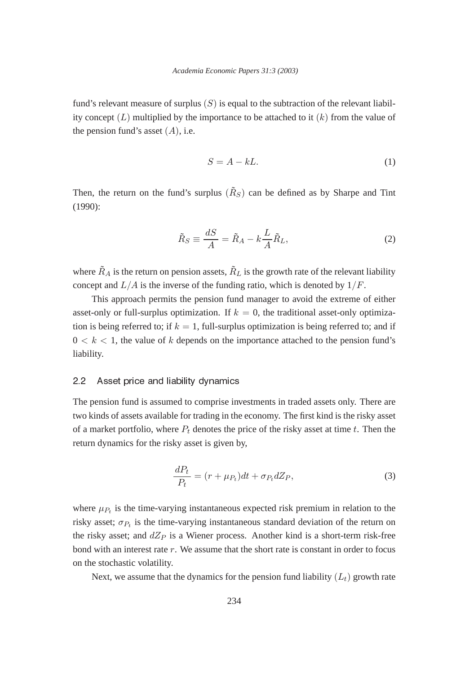fund's relevant measure of surplus  $(S)$  is equal to the subtraction of the relevant liability concept  $(L)$  multiplied by the importance to be attached to it  $(k)$  from the value of the pension fund's asset  $(A)$ , i.e.

$$
S = A - kL.\tag{1}
$$

Then, the return on the fund's surplus  $(R<sub>S</sub>)$  can be defined as by Sharpe and Tint (1990):

$$
\tilde{R}_S \equiv \frac{dS}{A} = \tilde{R}_A - k \frac{L}{A} \tilde{R}_L,\tag{2}
$$

where  $\tilde{R}_A$  is the return on pension assets,  $\tilde{R}_L$  is the growth rate of the relevant liability concept and  $L/A$  is the inverse of the funding ratio, which is denoted by  $1/F$ .

This approach permits the pension fund manager to avoid the extreme of either asset-only or full-surplus optimization. If  $k = 0$ , the traditional asset-only optimization is being referred to; if  $k = 1$ , full-surplus optimization is being referred to; and if  $0 < k < 1$ , the value of k depends on the importance attached to the pension fund's liability.

### $2.2$ Asset price and liability dynamics

The pension fund is assumed to comprise investments in traded assets only. There are two kinds of assets available for trading in the economy. The first kind is the risky asset of a market portfolio, where  $P_t$  denotes the price of the risky asset at time t. Then the return dynamics for the risky asset is given by,

$$
\frac{dP_t}{P_t} = (r + \mu_{P_t})dt + \sigma_{P_t}dZ_P, \qquad (3)
$$

where  $\mu_{P_t}$  is the time-varying instantaneous expected risk premium in relation to the risky asset;  $\sigma_{P_t}$  is the time-varying instantaneous standard deviation of the return on the risky asset; and  $dZ_P$  is a Wiener process. Another kind is a short-term risk-free bond with an interest rate  $r$ . We assume that the short rate is constant in order to focus on the stochastic volatility.

Next, we assume that the dynamics for the pension fund liability  $(L_t)$  growth rate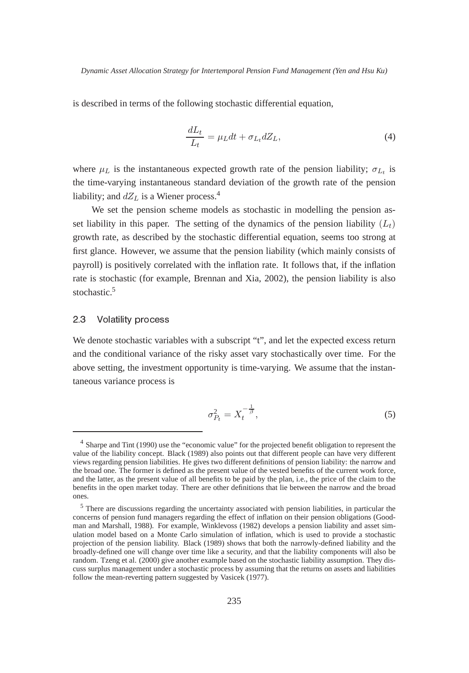is described in terms of the following stochastic differential equation,

$$
\frac{dL_t}{L_t} = \mu_L dt + \sigma_{L_t} dZ_L,\tag{4}
$$

where  $\mu_L$  is the instantaneous expected growth rate of the pension liability;  $\sigma_{L_t}$  is the time-varying instantaneous standard deviation of the growth rate of the pension liability; and  $dZ_L$  is a Wiener process.<sup>4</sup>

We set the pension scheme models as stochastic in modelling the pension asset liability in this paper. The setting of the dynamics of the pension liability  $(L_t)$ growth rate, as described by the stochastic differential equation, seems too strong at first glance. However, we assume that the pension liability (which mainly consists of payroll) is positively correlated with the inflation rate. It follows that, if the inflation rate is stochastic (for example, Brennan and Xia, 2002), the pension liability is also stochastic.<sup>5</sup>

### $23$  Volatility process

We denote stochastic variables with a subscript "t", and let the expected excess return and the conditional variance of the risky asset vary stochastically over time. For the above setting, the investment opportunity is time-varying. We assume that the instantaneous variance process is

$$
\sigma_{P_t}^2 = X_t^{-\frac{1}{\beta}},\tag{5}
$$

<sup>&</sup>lt;sup>4</sup> Sharpe and Tint (1990) use the "economic value" for the projected benefit obligation to represent the value of the liability concept. Black (1989) also points out that different people can have very different views regarding pension liabilities. He gives two different definitions of pension liability: the narrow and the broad one. The former is defined as the present value of the vested benefits of the current work force, and the latter, as the present value of all benefits to be paid by the plan, i.e., the price of the claim to the benefits in the open market today. There are other definitions that lie between the narrow and the broad ones.

<sup>&</sup>lt;sup>5</sup> There are discussions regarding the uncertainty associated with pension liabilities, in particular the concerns of pension fund managers regarding the effect of inflation on their pension obligations (Goodman and Marshall, 1988). For example, Winklevoss (1982) develops a pension liability and asset simulation model based on a Monte Carlo simulation of inflation, which is used to provide a stochastic projection of the pension liability. Black (1989) shows that both the narrowly-defined liability and the broadly-defined one will change over time like a security, and that the liability components will also be random. Tzeng et al. (2000) give another example based on the stochastic liability assumption. They discuss surplus management under a stochastic process by assuming that the returns on assets and liabilities follow the mean-reverting pattern suggested by Vasicek (1977).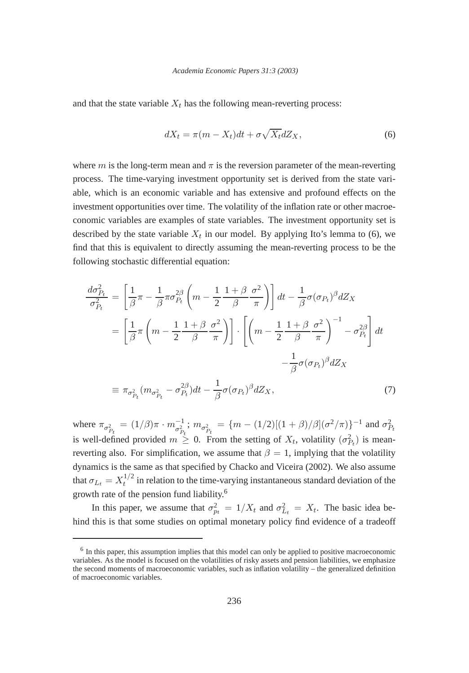and that the state variable  $X_t$  has the following mean-reverting process:

$$
dX_t = \pi (m - X_t)dt + \sigma \sqrt{X_t}dZ_X,
$$
\n(6)

where m is the long-term mean and  $\pi$  is the reversion parameter of the mean-reverting process. The time-varying investment opportunity set is derived from the state variable, which is an economic variable and has extensive and profound effects on the investment opportunities over time. The volatility of the inflation rate or other macroeconomic variables are examples of state variables. The investment opportunity set is described by the state variable  $X_t$  in our model. By applying Ito's lemma to (6), we find that this is equivalent to directly assuming the mean-reverting process to be the following stochastic differential equation:

$$
\frac{d\sigma_{P_t}^2}{\sigma_{P_t}^2} = \left[\frac{1}{\beta}\pi - \frac{1}{\beta}\pi\sigma_{P_t}^{2\beta}\left(m - \frac{1}{2}\frac{1+\beta}{\beta}\frac{\sigma^2}{\pi}\right)\right]dt - \frac{1}{\beta}\sigma(\sigma_{P_t})^{\beta}dZ_X
$$

$$
= \left[\frac{1}{\beta}\pi\left(m - \frac{1}{2}\frac{1+\beta}{\beta}\frac{\sigma^2}{\pi}\right)\right] \cdot \left[\left(m - \frac{1}{2}\frac{1+\beta}{\beta}\frac{\sigma^2}{\pi}\right)^{-1} - \sigma_{P_t}^{2\beta}\right]dt
$$

$$
- \frac{1}{\beta}\sigma(\sigma_{P_t})^{\beta}dZ_X
$$

$$
\equiv \pi_{\sigma_{P_t}^2}(m_{\sigma_{P_t}^2} - \sigma_{P_t}^{2\beta})dt - \frac{1}{\beta}\sigma(\sigma_{P_t})^{\beta}dZ_X,
$$
(7)

where  $\pi_{\sigma_{P_t}^2} = (1/\beta)\pi \cdot m_{\sigma_{P_t}^2}^{-1}$ ;  $m_{\sigma_{P_t}^2} = \{m - (1/2)[(1+\beta)/\beta](\sigma^2/\pi)\}^{-1}$  and  $\sigma_{P_t}^2$ is well-defined provided  $m \geq 0$ . From the setting of  $X_t$ , volatility  $(\sigma_{P_t}^2)$  is meanreverting also. For simplification, we assume that  $\beta = 1$ , implying that the volatility dynamics is the same as that specified by Chacko and Viceira (2002). We also assume that  $\sigma_{L_t} = X_t^{1/2}$  in relation to the time-varying instantaneous standard deviation of the growth rate of the pension fund liability.6

In this paper, we assume that  $\sigma_{pt}^2 = 1/X_t$  and  $\sigma_{L_t}^2 = X_t$ . The basic idea behind this is that some studies on optimal monetary policy find evidence of a tradeoff

<sup>&</sup>lt;sup>6</sup> In this paper, this assumption implies that this model can only be applied to positive macroeconomic variables. As the model is focused on the volatilities of risky assets and pension liabilities, we emphasize the second moments of macroeconomic variables, such as inflation volatility – the generalized definition of macroeconomic variables.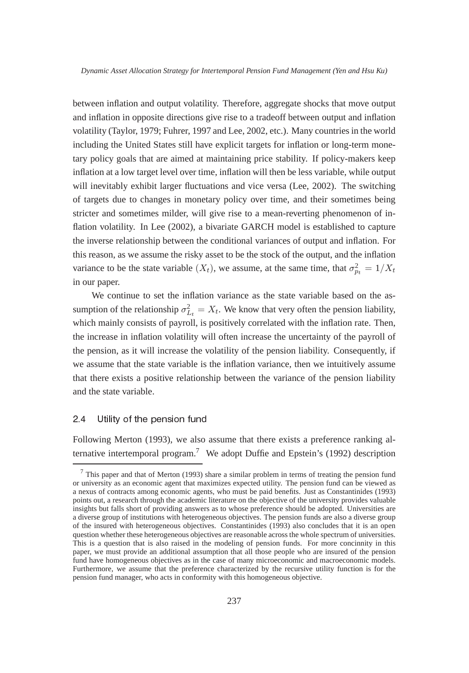between inflation and output volatility. Therefore, aggregate shocks that move output and inflation in opposite directions give rise to a tradeoff between output and inflation volatility (Taylor, 1979; Fuhrer, 1997 and Lee, 2002, etc.). Many countries in the world including the United States still have explicit targets for inflation or long-term monetary policy goals that are aimed at maintaining price stability. If policy-makers keep inflation at a low target level over time, inflation will then be less variable, while output will inevitably exhibit larger fluctuations and vice versa (Lee, 2002). The switching of targets due to changes in monetary policy over time, and their sometimes being stricter and sometimes milder, will give rise to a mean-reverting phenomenon of inflation volatility. In Lee (2002), a bivariate GARCH model is established to capture the inverse relationship between the conditional variances of output and inflation. For this reason, as we assume the risky asset to be the stock of the output, and the inflation variance to be the state variable  $(X_t)$ , we assume, at the same time, that  $\sigma_{p_t}^2 = 1/X_t$ in our paper.

We continue to set the inflation variance as the state variable based on the assumption of the relationship  $\sigma_{L_t}^2 = X_t$ . We know that very often the pension liability, which mainly consists of payroll, is positively correlated with the inflation rate. Then, the increase in inflation volatility will often increase the uncertainty of the payroll of the pension, as it will increase the volatility of the pension liability. Consequently, if we assume that the state variable is the inflation variance, then we intuitively assume that there exists a positive relationship between the variance of the pension liability and the state variable.

### $2.4$ Utility of the pension fund

Following Merton (1993), we also assume that there exists a preference ranking alternative intertemporal program.<sup>7</sup> We adopt Duffie and Epstein's (1992) description

 $<sup>7</sup>$  This paper and that of Merton (1993) share a similar problem in terms of treating the pension fund</sup> or university as an economic agent that maximizes expected utility. The pension fund can be viewed as a nexus of contracts among economic agents, who must be paid benefits. Just as Constantinides (1993) points out, a research through the academic literature on the objective of the university provides valuable insights but falls short of providing answers as to whose preference should be adopted. Universities are a diverse group of institutions with heterogeneous objectives. The pension funds are also a diverse group of the insured with heterogeneous objectives. Constantinides (1993) also concludes that it is an open question whether these heterogeneous objectives are reasonable across the whole spectrum of universities. This is a question that is also raised in the modeling of pension funds. For more concinnity in this paper, we must provide an additional assumption that all those people who are insured of the pension fund have homogeneous objectives as in the case of many microeconomic and macroeconomic models. Furthermore, we assume that the preference characterized by the recursive utility function is for the pension fund manager, who acts in conformity with this homogeneous objective.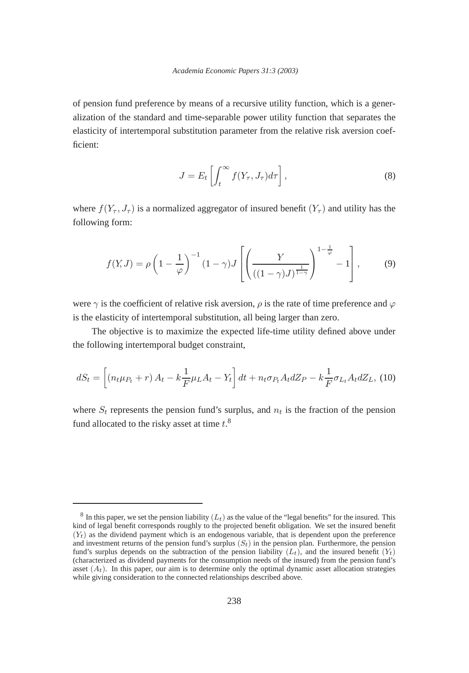of pension fund preference by means of a recursive utility function, which is a generalization of the standard and time-separable power utility function that separates the elasticity of intertemporal substitution parameter from the relative risk aversion coefficient:

$$
J = E_t \left[ \int_t^{\infty} f(Y_\tau, J_\tau) d\tau \right],
$$
\n(8)

where  $f(Y_\tau, J_\tau)$  is a normalized aggregator of insured benefit  $(Y_\tau)$  and utility has the following form:

$$
f(Y, J) = \rho \left(1 - \frac{1}{\varphi}\right)^{-1} (1 - \gamma) J \left[\left(\frac{Y}{\left((1 - \gamma)J\right)^{\frac{1}{1 - \gamma}}}\right)^{1 - \frac{1}{\varphi}} - 1\right],\tag{9}
$$

were  $\gamma$  is the coefficient of relative risk aversion,  $\rho$  is the rate of time preference and  $\varphi$ is the elasticity of intertemporal substitution, all being larger than zero.

The objective is to maximize the expected life-time utility defined above under the following intertemporal budget constraint,

$$
dS_t = \left[ (n_t \mu_{P_t} + r) A_t - k \frac{1}{F} \mu_L A_t - Y_t \right] dt + n_t \sigma_{P_t} A_t dZ_P - k \frac{1}{F} \sigma_{L_t} A_t dZ_L, (10)
$$

where  $S_t$  represents the pension fund's surplus, and  $n_t$  is the fraction of the pension fund allocated to the risky asset at time  $t^8$ .

 $8$  In this paper, we set the pension liability  $(L_t)$  as the value of the "legal benefits" for the insured. This kind of legal benefit corresponds roughly to the projected benefit obligation. We set the insured benefit  $(Y_t)$  as the dividend payment which is an endogenous variable, that is dependent upon the preference and investment returns of the pension fund's surplus  $(S_t)$  in the pension plan. Furthermore, the pension fund's surplus depends on the subtraction of the pension liability  $(L_t)$ , and the insured benefit  $(Y_t)$ (characterized as dividend payments for the consumption needs of the insured) from the pension fund's asset  $(A_t)$ . In this paper, our aim is to determine only the optimal dynamic asset allocation strategies while giving consideration to the connected relationships described above.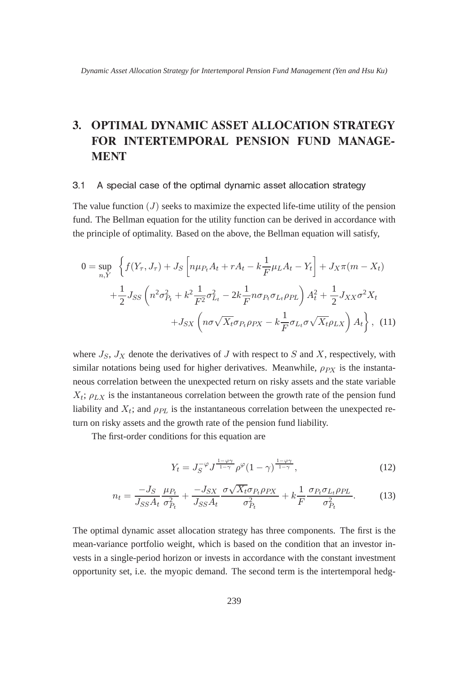# 3. OPTIMAL DYNAMIC ASSET ALLOCATION STRATEGY FOR INTERTEMPORAL PENSION FUND MANAGE-**MENT**

### $3.1$ A special case of the optimal dynamic asset allocation strategy

The value function  $(J)$  seeks to maximize the expected life-time utility of the pension fund. The Bellman equation for the utility function can be derived in accordance with the principle of optimality. Based on the above, the Bellman equation will satisfy,

$$
0 = \sup_{n,Y} \left\{ f(Y_{\tau}, J_{\tau}) + J_S \left[ n\mu_{P_t} A_t + rA_t - k \frac{1}{F} \mu_L A_t - Y_t \right] + J_X \pi (m - X_t) \right\}
$$

$$
+ \frac{1}{2} J_{SS} \left( n^2 \sigma_{P_t}^2 + k^2 \frac{1}{F^2} \sigma_{L_t}^2 - 2k \frac{1}{F} n \sigma_{P_t} \sigma_{L_t} \rho_{PL} \right) A_t^2 + \frac{1}{2} J_{XX} \sigma^2 X_t
$$

$$
+ J_{SX} \left( n \sigma \sqrt{X_t} \sigma_{P_t} \rho_{PX} - k \frac{1}{F} \sigma_{L_t} \sigma \sqrt{X_t} \rho_{LX} \right) A_t \right\}, \quad (11)
$$

where  $J_S$ ,  $J_X$  denote the derivatives of  $J$  with respect to  $S$  and  $X$ , respectively, with similar notations being used for higher derivatives. Meanwhile,  $\rho_{PX}$  is the instantaneous correlation between the unexpected return on risky assets and the state variable  $X_t$ ;  $\rho_{LX}$  is the instantaneous correlation between the growth rate of the pension fund liability and  $X_t$ ; and  $\rho_{PL}$  is the instantaneous correlation between the unexpected return on risky assets and the growth rate of the pension fund liability.

The first-order conditions for this equation are

$$
Y_t = J_S^{-\varphi} J^{\frac{1-\varphi\gamma}{1-\gamma}} \rho^{\varphi} (1-\gamma)^{\frac{1-\varphi\gamma}{1-\gamma}}, \qquad (12)
$$

$$
n_t = \frac{-J_S}{J_{SS}A_t} \frac{\mu_{P_t}}{\sigma_{P_t}^2} + \frac{-J_{SX}}{J_{SS}A_t} \frac{\sigma \sqrt{X_t} \sigma_{P_t} \rho_{PX}}{\sigma_{P_t}^2} + k \frac{1}{F} \frac{\sigma_{P_t} \sigma_{L_t} \rho_{PL}}{\sigma_{P_t}^2}.
$$
 (13)

The optimal dynamic asset allocation strategy has three components. The first is the mean-variance portfolio weight, which is based on the condition that an investor invests in a single-period horizon or invests in accordance with the constant investment opportunity set, i.e. the myopic demand. The second term is the intertemporal hedg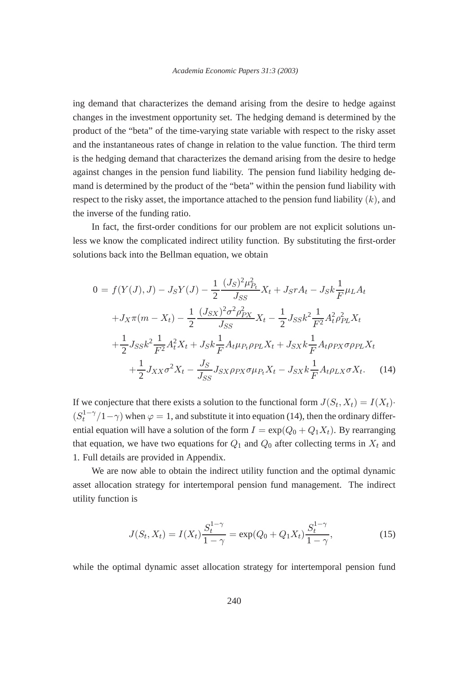ing demand that characterizes the demand arising from the desire to hedge against changes in the investment opportunity set. The hedging demand is determined by the product of the "beta" of the time-varying state variable with respect to the risky asset and the instantaneous rates of change in relation to the value function. The third term is the hedging demand that characterizes the demand arising from the desire to hedge against changes in the pension fund liability. The pension fund liability hedging demand is determined by the product of the "beta" within the pension fund liability with respect to the risky asset, the importance attached to the pension fund liability  $(k)$ , and the inverse of the funding ratio.

In fact, the first-order conditions for our problem are not explicit solutions unless we know the complicated indirect utility function. By substituting the first-order solutions back into the Bellman equation, we obtain

$$
0 = f(Y(J), J) - J_S Y(J) - \frac{1}{2} \frac{(J_S)^2 \mu_{P_t}^2}{J_{SS}} X_t + J_S r A_t - J_S k \frac{1}{F} \mu_L A_t
$$
  
+  $J_X \pi (m - X_t) - \frac{1}{2} \frac{(J_{SX})^2 \sigma^2 \rho_{PX}^2}{J_{SS}} X_t - \frac{1}{2} J_{SS} k^2 \frac{1}{F^2} A_t^2 \rho_{PL}^2 X_t$   
+  $\frac{1}{2} J_{SS} k^2 \frac{1}{F^2} A_t^2 X_t + J_S k \frac{1}{F} A_t \mu_{P_t} \rho_{PL} X_t + J_{SX} k \frac{1}{F} A_t \rho_{PX} \sigma \rho_{PL} X_t$   
+  $\frac{1}{2} J_{XX} \sigma^2 X_t - \frac{J_S}{J_{SS}} J_{SX} \rho_{PX} \sigma \mu_{P_t} X_t - J_{SX} k \frac{1}{F} A_t \rho_{LX} \sigma X_t.$  (14)

If we conjecture that there exists a solution to the functional form  $J(S_t, X_t) = I(X_t)$ .  $(S_t^{1-\gamma}/1-\gamma)$  when  $\varphi=1$ , and substitute it into equation (14), then the ordinary differential equation will have a solution of the form  $I = \exp(Q_0 + Q_1 X_t)$ . By rearranging that equation, we have two equations for  $Q_1$  and  $Q_0$  after collecting terms in  $X_t$  and 1. Full details are provided in Appendix.

We are now able to obtain the indirect utility function and the optimal dynamic asset allocation strategy for intertemporal pension fund management. The indirect utility function is

$$
J(S_t, X_t) = I(X_t) \frac{S_t^{1-\gamma}}{1-\gamma} = \exp(Q_0 + Q_1 X_t) \frac{S_t^{1-\gamma}}{1-\gamma},
$$
\n(15)

while the optimal dynamic asset allocation strategy for intertemporal pension fund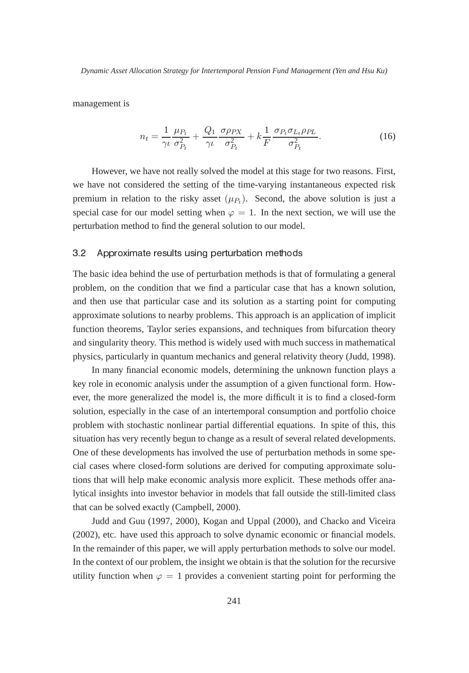management is

$$
n_t = \frac{1}{\gamma \iota} \frac{\mu_{P_t}}{\sigma_{P_t}^2} + \frac{Q_1}{\gamma \iota} \frac{\sigma \rho_{PX}}{\sigma_{P_t}^2} + k \frac{1}{F} \frac{\sigma_{P_t} \sigma_{L_t} \rho_{PL}}{\sigma_{P_t}^2}.
$$
 (16)

However, we have not really solved the model at this stage for two reasons. First, we have not considered the setting of the time-varying instantaneous expected risk premium in relation to the risky asset  $(\mu_{P_t})$ . Second, the above solution is just a special case for our model setting when  $\varphi = 1$ . In the next section, we will use the perturbation method to find the general solution to our model.

#### $3<sub>2</sub>$ Approximate results using perturbation methods

The basic idea behind the use of perturbation methods is that of formulating a general problem, on the condition that we find a particular case that has a known solution, and then use that particular case and its solution as a starting point for computing approximate solutions to nearby problems. This approach is an application of implicit function theorems, Taylor series expansions, and techniques from bifurcation theory and singularity theory. This method is widely used with much success in mathematical physics, particularly in quantum mechanics and general relativity theory (Judd, 1998).

In many financial economic models, determining the unknown function plays a key role in economic analysis under the assumption of a given functional form. However, the more generalized the model is, the more difficult it is to find a closed-form solution, especially in the case of an intertemporal consumption and portfolio choice problem with stochastic nonlinear partial differential equations. In spite of this, this situation has very recently begun to change as a result of several related developments. One of these developments has involved the use of perturbation methods in some special cases where closed-form solutions are derived for computing approximate solutions that will help make economic analysis more explicit. These methods offer analytical insights into investor behavior in models that fall outside the still-limited class that can be solved exactly (Campbell, 2000).

Judd and Guu (1997, 2000), Kogan and Uppal (2000), and Chacko and Viceira (2002), etc. have used this approach to solve dynamic economic or financial models. In the remainder of this paper, we will apply perturbation methods to solve our model. In the context of our problem, the insight we obtain is that the solution for the recursive utility function when  $\varphi = 1$  provides a convenient starting point for performing the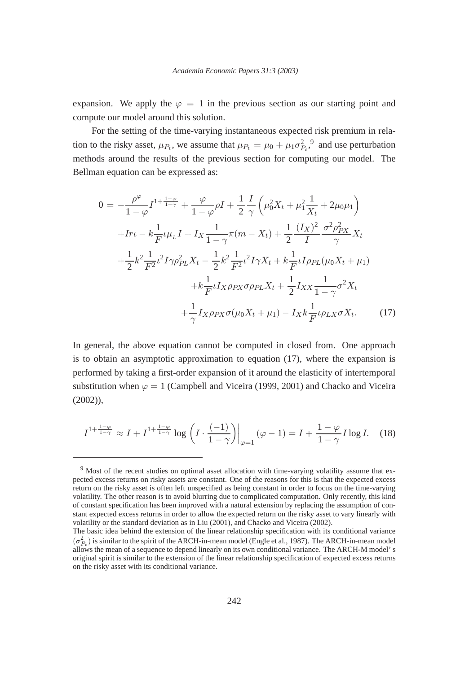expansion. We apply the  $\varphi = 1$  in the previous section as our starting point and compute our model around this solution.

For the setting of the time-varying instantaneous expected risk premium in relation to the risky asset,  $\mu_{P_t}$ , we assume that  $\mu_{P_t} = \mu_0 + \mu_1 \sigma_{P_t}^2$ , and use perturbation methods around the results of the previous section for computing our model. The Bellman equation can be expressed as:

$$
0 = -\frac{\rho^{\varphi}}{1 - \varphi} I^{1 + \frac{1 - \varphi}{1 - \gamma}} + \frac{\varphi}{1 - \varphi} \rho I + \frac{1}{2} \frac{I}{\gamma} \left( \mu_0^2 X_t + \mu_1^2 \frac{1}{X_t} + 2\mu_0 \mu_1 \right)
$$
  
+ 
$$
I r \iota - k \frac{1}{F} \iota \mu_L I + I_X \frac{1}{1 - \gamma} \pi (m - X_t) + \frac{1}{2} \frac{(I_X)^2}{I} \frac{\sigma^2 \rho_{PX}^2}{\gamma} X_t
$$
  
+ 
$$
\frac{1}{2} k^2 \frac{1}{F^2} \iota^2 I \gamma \rho_{PL}^2 X_t - \frac{1}{2} k^2 \frac{1}{F^2} \iota^2 I \gamma X_t + k \frac{1}{F} \iota I \rho_{PL} (\mu_0 X_t + \mu_1)
$$
  
+ 
$$
k \frac{1}{F} \iota I_X \rho_{PX} \sigma \rho_{PL} X_t + \frac{1}{2} I_{XX} \frac{1}{1 - \gamma} \sigma^2 X_t
$$
  
+ 
$$
\frac{1}{\gamma} I_X \rho_{PX} \sigma (\mu_0 X_t + \mu_1) - I_X k \frac{1}{F} \iota \rho_{LX} \sigma X_t.
$$
 (17)

In general, the above equation cannot be computed in closed from. One approach is to obtain an asymptotic approximation to equation (17), where the expansion is performed by taking a first-order expansion of it around the elasticity of intertemporal substitution when  $\varphi = 1$  (Campbell and Viceira (1999, 2001) and Chacko and Viceira (2002)),

$$
I^{1+\frac{1-\varphi}{1-\gamma}} \approx I + I^{1+\frac{1-\varphi}{1-\gamma}} \log \left( I \cdot \frac{(-1)}{1-\gamma} \right) \Big|_{\varphi=1} (\varphi - 1) = I + \frac{1-\varphi}{1-\gamma} I \log I. \tag{18}
$$

<sup>9</sup> Most of the recent studies on optimal asset allocation with time-varying volatility assume that expected excess returns on risky assets are constant. One of the reasons for this is that the expected excess return on the risky asset is often left unspecified as being constant in order to focus on the time-varying volatility. The other reason is to avoid blurring due to complicated computation. Only recently, this kind of constant specification has been improved with a natural extension by replacing the assumption of constant expected excess returns in order to allow the expected return on the risky asset to vary linearly with volatility or the standard deviation as in Liu (2001), and Chacko and Viceira (2002).

The basic idea behind the extension of the linear relationship specification with its conditional variance  $(\sigma_{P_t}^2)$  is similar to the spirit of the ARCH-in-mean model (Engle et al., 1987). The ARCH-in-mean model allows the mean of a sequence to depend linearly on its own conditional variance. The ARCH-M model' s original spirit is similar to the extension of the linear relationship specification of expected excess returns on the risky asset with its conditional variance.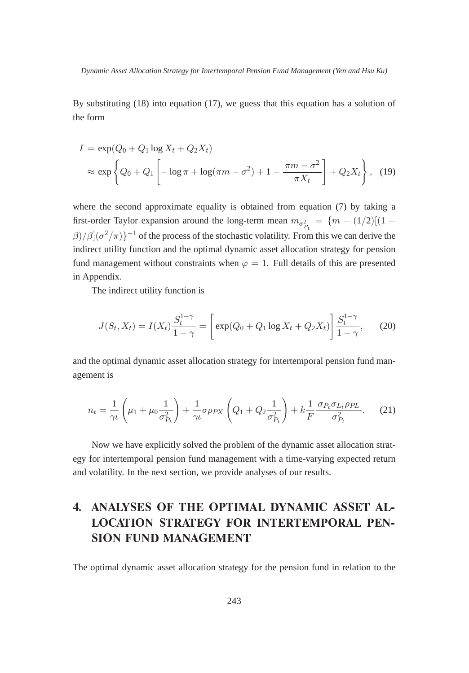By substituting (18) into equation (17), we guess that this equation has a solution of the form

$$
I = \exp(Q_0 + Q_1 \log X_t + Q_2 X_t)
$$
  
\$\approx\$ exp  $\left\{Q_0 + Q_1 \left[ -\log \pi + \log(\pi m - \sigma^2) + 1 - \frac{\pi m - \sigma^2}{\pi X_t} \right] + Q_2 X_t \right\},$ (19)$$ 

where the second approximate equality is obtained from equation (7) by taking a first-order Taylor expansion around the long-term mean  $m_{\sigma_P^2} = \{m - (1/2)[(1 +$  $\beta$ )/ $\beta$ ]( $\sigma^2/\pi$ )}<sup>-1</sup> of the process of the stochastic volatility. From this we can derive the indirect utility function and the optimal dynamic asset allocation strategy for pension fund management without constraints when  $\varphi = 1$ . Full details of this are presented in Appendix.

The indirect utility function is

$$
J(S_t, X_t) = I(X_t) \frac{S_t^{1-\gamma}}{1-\gamma} = \left[ \exp(Q_0 + Q_1 \log X_t + Q_2 X_t) \right] \frac{S_t^{1-\gamma}}{1-\gamma}, \quad (20)
$$

and the optimal dynamic asset allocation strategy for intertemporal pension fund management is

$$
n_t = \frac{1}{\gamma \iota} \left( \mu_1 + \mu_0 \frac{1}{\sigma_{P_t}^2} \right) + \frac{1}{\gamma \iota} \sigma \rho_{PX} \left( Q_1 + Q_2 \frac{1}{\sigma_{P_t}^2} \right) + k \frac{1}{F} \frac{\sigma_{P_t} \sigma_{L_t} \rho_{PL}}{\sigma_{P_t}^2}.
$$
 (21)

Now we have explicitly solved the problem of the dynamic asset allocation strategy for intertemporal pension fund management with a time-varying expected return and volatility. In the next section, we provide analyses of our results.

# **LOCATION STRATEGY FOR INTERTEMPORAL PEN-SION FUND MANAGEMENT**

The optimal dynamic asset allocation strategy for the pension fund in relation to the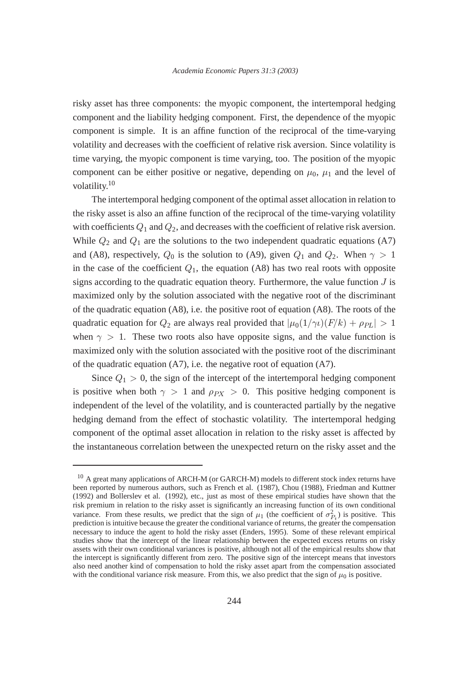risky asset has three components: the myopic component, the intertemporal hedging component and the liability hedging component. First, the dependence of the myopic component is simple. It is an affine function of the reciprocal of the time-varying volatility and decreases with the coefficient of relative risk aversion. Since volatility is time varying, the myopic component is time varying, too. The position of the myopic component can be either positive or negative, depending on  $\mu_0$ ,  $\mu_1$  and the level of volatility.<sup>10</sup>

The intertemporal hedging component of the optimal asset allocation in relation to the risky asset is also an affine function of the reciprocal of the time-varying volatility with coefficients  $Q_1$  and  $Q_2$ , and decreases with the coefficient of relative risk aversion. While  $Q_2$  and  $Q_1$  are the solutions to the two independent quadratic equations (A7) and (A8), respectively,  $Q_0$  is the solution to (A9), given  $Q_1$  and  $Q_2$ . When  $\gamma > 1$ in the case of the coefficient  $Q_1$ , the equation (A8) has two real roots with opposite signs according to the quadratic equation theory. Furthermore, the value function  $J$  is maximized only by the solution associated with the negative root of the discriminant of the quadratic equation (A8), i.e. the positive root of equation (A8). The roots of the quadratic equation for  $Q_2$  are always real provided that  $|\mu_0(1/\gamma t)(F/k) + \rho_{PL}| > 1$ when  $\gamma > 1$ . These two roots also have opposite signs, and the value function is maximized only with the solution associated with the positive root of the discriminant of the quadratic equation (A7), i.e. the negative root of equation (A7).

Since  $Q_1 > 0$ , the sign of the intercept of the intertemporal hedging component is positive when both  $\gamma > 1$  and  $\rho_{PX} > 0$ . This positive hedging component is independent of the level of the volatility, and is counteracted partially by the negative hedging demand from the effect of stochastic volatility. The intertemporal hedging component of the optimal asset allocation in relation to the risky asset is affected by the instantaneous correlation between the unexpected return on the risky asset and the

<sup>&</sup>lt;sup>10</sup> A great many applications of ARCH-M (or GARCH-M) models to different stock index returns have been reported by numerous authors, such as French et al. (1987), Chou (1988), Friedman and Kuttner (1992) and Bollerslev et al. (1992), etc., just as most of these empirical studies have shown that the risk premium in relation to the risky asset is significantly an increasing function of its own conditional variance. From these results, we predict that the sign of  $\mu_1$  (the coefficient of  $\sigma_{P_t}^2$ ) is positive. This prediction is intuitive because the greater the conditional variance of returns, the greater the compensation necessary to induce the agent to hold the risky asset (Enders, 1995). Some of these relevant empirical studies show that the intercept of the linear relationship between the expected excess returns on risky assets with their own conditional variances is positive, although not all of the empirical results show that the intercept is significantly different from zero. The positive sign of the intercept means that investors also need another kind of compensation to hold the risky asset apart from the compensation associated with the conditional variance risk measure. From this, we also predict that the sign of  $\mu_0$  is positive.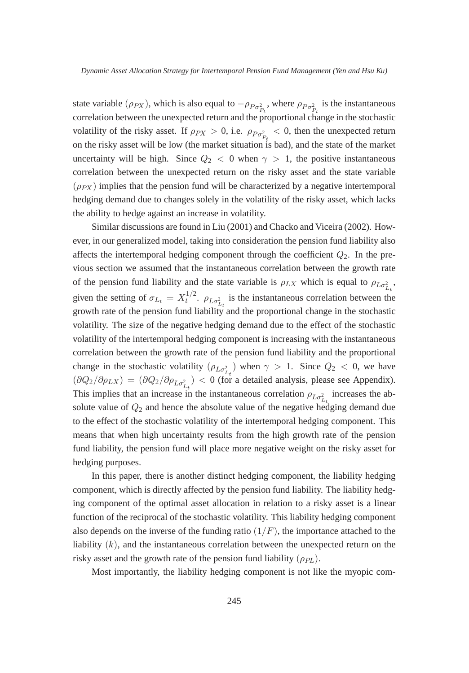state variable ( $\rho_{PX}$ ), which is also equal to  $-\rho_{Po_{P_t}^2}$ , where  $\rho_{Po_{P_t}^2}$  is the instantaneous correlation between the unexpected return and the proportional change in the stochastic volatility of the risky asset. If  $\rho_{PX} > 0$ , i.e.  $\rho_{Po_{P_t}^2} < 0$ , then the unexpected return on the risky asset will be low (the market situation is bad), and the state of the market uncertainty will be high. Since  $Q_2 < 0$  when  $\gamma > 1$ , the positive instantaneous correlation between the unexpected return on the risky asset and the state variable  $(\rho_{PX})$  implies that the pension fund will be characterized by a negative intertemporal hedging demand due to changes solely in the volatility of the risky asset, which lacks the ability to hedge against an increase in volatility.

Similar discussions are found in Liu (2001) and Chacko and Viceira (2002). However, in our generalized model, taking into consideration the pension fund liability also affects the intertemporal hedging component through the coefficient  $Q_2$ . In the previous section we assumed that the instantaneous correlation between the growth rate of the pension fund liability and the state variable is  $\rho_{LX}$  which is equal to  $\rho_{L\sigma_{L}^2}$ , given the setting of  $\sigma_{L_t} = X_t^{1/2}$ .  $\rho_{L\sigma_{L_t}^2}$  is the instantaneous correlation between the growth rate of the pension fund liability and the proportional change in the stochastic volatility. The size of the negative hedging demand due to the effect of the stochastic volatility of the intertemporal hedging component is increasing with the instantaneous correlation between the growth rate of the pension fund liability and the proportional change in the stochastic volatility  $(\rho_{L\sigma_L^2})$  when  $\gamma > 1$ . Since  $Q_2 < 0$ , we have  $\left(\frac{\partial Q_2}{\partial \rho_{LX}}\right) = \left(\frac{\partial Q_2}{\partial \rho_{L\sigma_{L_t}^2}}\right) < 0$  (for a detailed analysis, please see Appendix). This implies that an increase in the instantaneous correlation  $\rho_{L\sigma_{L_t}^2}$  increases the absolute value of  $Q_2$  and hence the absolute value of the negative hedging demand due to the effect of the stochastic volatility of the intertemporal hedging component. This means that when high uncertainty results from the high growth rate of the pension fund liability, the pension fund will place more negative weight on the risky asset for hedging purposes.

In this paper, there is another distinct hedging component, the liability hedging component, which is directly affected by the pension fund liability. The liability hedging component of the optimal asset allocation in relation to a risky asset is a linear function of the reciprocal of the stochastic volatility. This liability hedging component also depends on the inverse of the funding ratio  $(1/F)$ , the importance attached to the liability  $(k)$ , and the instantaneous correlation between the unexpected return on the risky asset and the growth rate of the pension fund liability  $(\rho_{PL})$ .

Most importantly, the liability hedging component is not like the myopic com-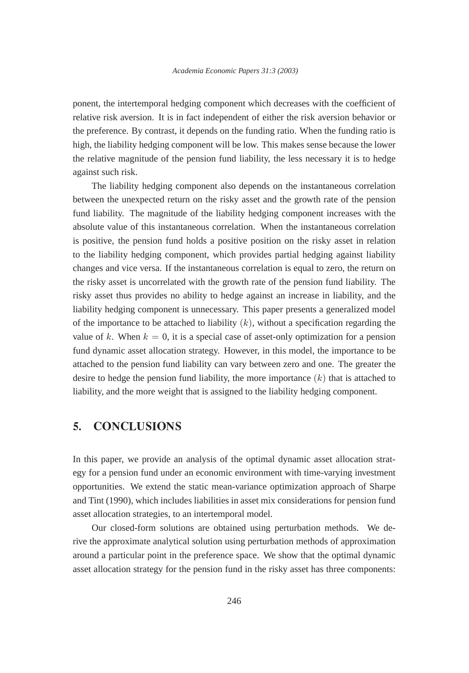ponent, the intertemporal hedging component which decreases with the coefficient of relative risk aversion. It is in fact independent of either the risk aversion behavior or the preference. By contrast, it depends on the funding ratio. When the funding ratio is high, the liability hedging component will be low. This makes sense because the lower the relative magnitude of the pension fund liability, the less necessary it is to hedge against such risk.

The liability hedging component also depends on the instantaneous correlation between the unexpected return on the risky asset and the growth rate of the pension fund liability. The magnitude of the liability hedging component increases with the absolute value of this instantaneous correlation. When the instantaneous correlation is positive, the pension fund holds a positive position on the risky asset in relation to the liability hedging component, which provides partial hedging against liability changes and vice versa. If the instantaneous correlation is equal to zero, the return on the risky asset is uncorrelated with the growth rate of the pension fund liability. The risky asset thus provides no ability to hedge against an increase in liability, and the liability hedging component is unnecessary. This paper presents a generalized model of the importance to be attached to liability  $(k)$ , without a specification regarding the value of k. When  $k = 0$ , it is a special case of asset-only optimization for a pension fund dynamic asset allocation strategy. However, in this model, the importance to be attached to the pension fund liability can vary between zero and one. The greater the desire to hedge the pension fund liability, the more importance  $(k)$  that is attached to liability, and the more weight that is assigned to the liability hedging component.

### $5<sub>1</sub>$ **CONCLUSIONS**

In this paper, we provide an analysis of the optimal dynamic asset allocation strategy for a pension fund under an economic environment with time-varying investment opportunities. We extend the static mean-variance optimization approach of Sharpe and Tint (1990), which includes liabilities in asset mix considerations for pension fund asset allocation strategies, to an intertemporal model.

Our closed-form solutions are obtained using perturbation methods. We derive the approximate analytical solution using perturbation methods of approximation around a particular point in the preference space. We show that the optimal dynamic asset allocation strategy for the pension fund in the risky asset has three components: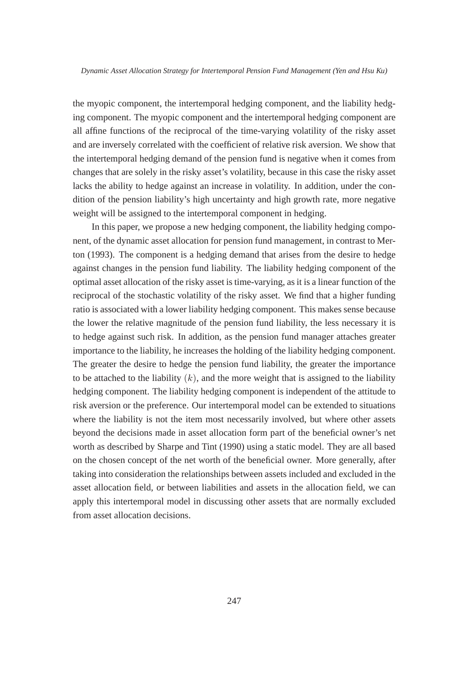the myopic component, the intertemporal hedging component, and the liability hedging component. The myopic component and the intertemporal hedging component are all affine functions of the reciprocal of the time-varying volatility of the risky asset and are inversely correlated with the coefficient of relative risk aversion. We show that the intertemporal hedging demand of the pension fund is negative when it comes from changes that are solely in the risky asset's volatility, because in this case the risky asset lacks the ability to hedge against an increase in volatility. In addition, under the condition of the pension liability's high uncertainty and high growth rate, more negative weight will be assigned to the intertemporal component in hedging.

In this paper, we propose a new hedging component, the liability hedging component, of the dynamic asset allocation for pension fund management, in contrast to Merton (1993). The component is a hedging demand that arises from the desire to hedge against changes in the pension fund liability. The liability hedging component of the optimal asset allocation of the risky asset is time-varying, as it is a linear function of the reciprocal of the stochastic volatility of the risky asset. We find that a higher funding ratio is associated with a lower liability hedging component. This makes sense because the lower the relative magnitude of the pension fund liability, the less necessary it is to hedge against such risk. In addition, as the pension fund manager attaches greater importance to the liability, he increases the holding of the liability hedging component. The greater the desire to hedge the pension fund liability, the greater the importance to be attached to the liability  $(k)$ , and the more weight that is assigned to the liability hedging component. The liability hedging component is independent of the attitude to risk aversion or the preference. Our intertemporal model can be extended to situations where the liability is not the item most necessarily involved, but where other assets beyond the decisions made in asset allocation form part of the beneficial owner's net worth as described by Sharpe and Tint (1990) using a static model. They are all based on the chosen concept of the net worth of the beneficial owner. More generally, after taking into consideration the relationships between assets included and excluded in the asset allocation field, or between liabilities and assets in the allocation field, we can apply this intertemporal model in discussing other assets that are normally excluded from asset allocation decisions.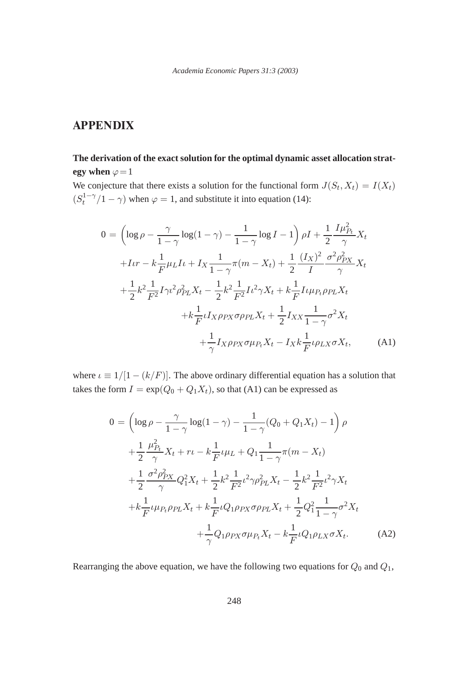# **The derivation of the exact solution for the optimal dynamic asset allocation strategy** when  $\varphi = 1$

We conjecture that there exists a solution for the functional form  $J(S_t, X_t) = I(X_t)$  $(S_t^{1-\gamma}/1-\gamma)$  when  $\varphi = 1$ , and substitute it into equation (14):

$$
0 = \left(\log \rho - \frac{\gamma}{1 - \gamma} \log(1 - \gamma) - \frac{1}{1 - \gamma} \log I - 1\right) \rho I + \frac{1}{2} \frac{I \mu_{P_t}^2}{\gamma} X_t
$$
  
+ $I \nu r - k \frac{1}{F} \mu_L I \nu + I_X \frac{1}{1 - \gamma} \pi (m - X_t) + \frac{1}{2} \frac{(I_X)^2}{I} \frac{\sigma^2 \rho_{PX}^2}{\gamma} X_t$   
+ $\frac{1}{2} k^2 \frac{1}{F^2} I \gamma \nu^2 \rho_{PL}^2 X_t - \frac{1}{2} k^2 \frac{1}{F^2} I \nu^2 \gamma X_t + k \frac{1}{F} I \nu \mu_{P_t} \rho_{PL} X_t$   
+ $k \frac{1}{F} \nu I_X \rho_{PX} \sigma \rho_{PL} X_t + \frac{1}{2} I_{XX} \frac{1}{1 - \gamma} \sigma^2 X_t$   
+ $\frac{1}{\gamma} I_X \rho_{PX} \sigma \mu_{P_t} X_t - I_X k \frac{1}{F} \nu \rho_{LX} \sigma X_t,$  (A1)

where  $\iota \equiv 1/[1 - (k/F)]$ . The above ordinary differential equation has a solution that takes the form  $I = \exp(Q_0 + Q_1 X_t)$ , so that (A1) can be expressed as

$$
0 = \left(\log \rho - \frac{\gamma}{1 - \gamma} \log(1 - \gamma) - \frac{1}{1 - \gamma} (Q_0 + Q_1 X_t) - 1\right) \rho
$$
  
+ 
$$
\frac{1}{2} \frac{\mu_{P_t}^2}{\gamma} X_t + r \iota - k \frac{1}{F} \iota \mu_L + Q_1 \frac{1}{1 - \gamma} \pi (m - X_t)
$$
  
+ 
$$
\frac{1}{2} \frac{\sigma^2 \rho_{PX}^2}{\gamma} Q_1^2 X_t + \frac{1}{2} k^2 \frac{1}{F^2} \iota^2 \gamma \rho_{PL}^2 X_t - \frac{1}{2} k^2 \frac{1}{F^2} \iota^2 \gamma X_t
$$
  
+ 
$$
k \frac{1}{F} \iota \mu_{P_t} \rho_{PL} X_t + k \frac{1}{F} \iota Q_1 \rho_{PX} \sigma \rho_{PL} X_t + \frac{1}{2} Q_1^2 \frac{1}{1 - \gamma} \sigma^2 X_t
$$
  
+ 
$$
\frac{1}{\gamma} Q_1 \rho_{PX} \sigma \mu_{P_t} X_t - k \frac{1}{F} \iota Q_1 \rho_{LX} \sigma X_t.
$$
 (A2)

Rearranging the above equation, we have the following two equations for  $Q_0$  and  $Q_1$ ,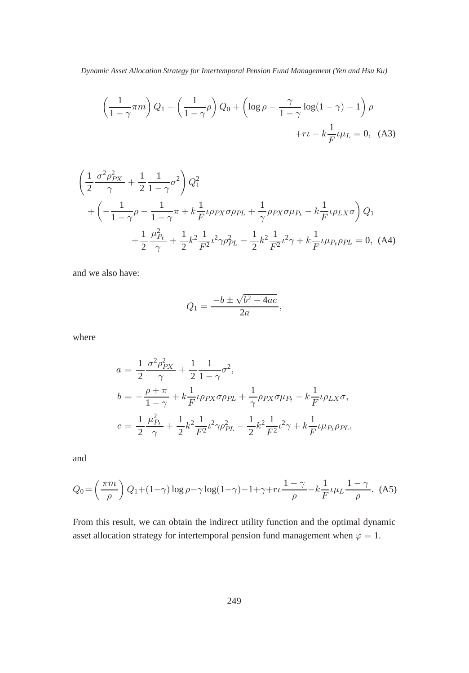$$
\left(\frac{1}{1-\gamma}\pi m\right)Q_1 - \left(\frac{1}{1-\gamma}\rho\right)Q_0 + \left(\log \rho - \frac{\gamma}{1-\gamma}\log(1-\gamma) - 1\right)\rho
$$

$$
+r\iota - k\frac{1}{F}\iota\mu_L = 0, \quad (A3)
$$

$$
\left(\frac{1}{2}\frac{\sigma^2 \rho_{PX}^2}{\gamma} + \frac{1}{2}\frac{1}{1-\gamma}\sigma^2\right)Q_1^2
$$
  
+  $\left(-\frac{1}{1-\gamma}\rho - \frac{1}{1-\gamma}\pi + k\frac{1}{F}\iota\rho_{PX}\sigma\rho_{PL} + \frac{1}{\gamma}\rho_{PX}\sigma\mu_{P_t} - k\frac{1}{F}\iota\rho_{LX}\sigma\right)Q_1$   
+  $\frac{1}{2}\frac{\mu_{P_t}^2}{\gamma} + \frac{1}{2}k^2\frac{1}{F^2}\iota^2\gamma\rho_{PL}^2 - \frac{1}{2}k^2\frac{1}{F^2}\iota^2\gamma + k\frac{1}{F}\iota\mu_{P_t}\rho_{PL} = 0$ , (A4)

and we also have:

$$
Q_1 = \frac{-b \pm \sqrt{b^2 - 4ac}}{2a},
$$

where

$$
a = \frac{1}{2} \frac{\sigma^2 \rho_{PX}^2}{\gamma} + \frac{1}{2} \frac{1}{1 - \gamma} \sigma^2,
$$
  
\n
$$
b = -\frac{\rho + \pi}{1 - \gamma} + k \frac{1}{F} \iota \rho_{PX} \sigma \rho_{PL} + \frac{1}{\gamma} \rho_{PX} \sigma \mu_{P_t} - k \frac{1}{F} \iota \rho_{LX} \sigma,
$$
  
\n
$$
c = \frac{1}{2} \frac{\mu_{P_t}^2}{\gamma} + \frac{1}{2} k^2 \frac{1}{F^2} \iota^2 \gamma \rho_{PL}^2 - \frac{1}{2} k^2 \frac{1}{F^2} \iota^2 \gamma + k \frac{1}{F} \iota \mu_{P_t} \rho_{PL},
$$

and

$$
Q_0 = \left(\frac{\pi m}{\rho}\right) Q_1 + (1 - \gamma) \log \rho - \gamma \log(1 - \gamma) - 1 + \gamma + r \frac{1 - \gamma}{\rho} - k \frac{1}{F} \iota \mu_L \frac{1 - \gamma}{\rho}.
$$
 (A5)

From this result, we can obtain the indirect utility function and the optimal dynamic asset allocation strategy for intertemporal pension fund management when  $\varphi = 1$ .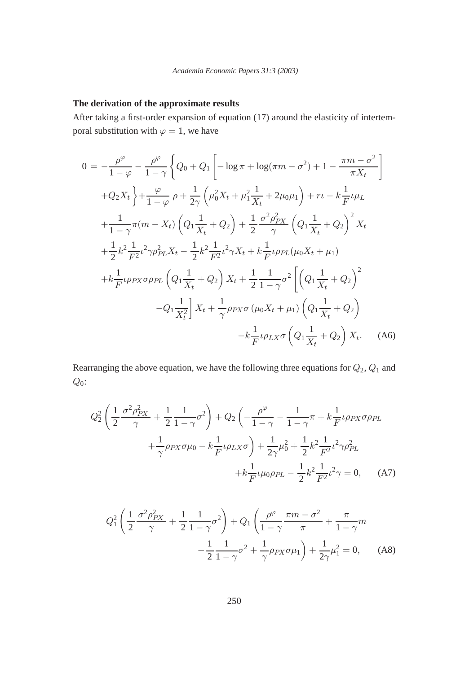# **The derivation of the approximate results**

After taking a first-order expansion of equation (17) around the elasticity of intertemporal substitution with  $\varphi = 1$ , we have

$$
0 = -\frac{\rho^{\varphi}}{1-\varphi} - \frac{\rho^{\varphi}}{1-\gamma} \left\{ Q_0 + Q_1 \left[ -\log \pi + \log(\pi m - \sigma^2) + 1 - \frac{\pi m - \sigma^2}{\pi X_t} \right] \right\}
$$
  
+ $Q_2 X_t \left\} + \frac{\varphi}{1-\varphi} \rho + \frac{1}{2\gamma} \left( \mu_0^2 X_t + \mu_1^2 \frac{1}{X_t} + 2\mu_0 \mu_1 \right) + r\iota - k \frac{1}{F} \iota \mu_L$   
+ $\frac{1}{1-\gamma} \pi (m - X_t) \left( Q_1 \frac{1}{X_t} + Q_2 \right) + \frac{1}{2} \frac{\sigma^2 \rho_{PX}^2}{\gamma} \left( Q_1 \frac{1}{X_t} + Q_2 \right)^2 X_t$   
+ $\frac{1}{2} k^2 \frac{1}{F^2} \iota^2 \gamma \rho_{PL}^2 X_t - \frac{1}{2} k^2 \frac{1}{F^2} \iota^2 \gamma X_t + k \frac{1}{F} \iota \rho_{PL} (\mu_0 X_t + \mu_1)$   
+ $k \frac{1}{F} \iota \rho_{PX} \sigma \rho_{PL} \left( Q_1 \frac{1}{X_t} + Q_2 \right) X_t + \frac{1}{2} \frac{1}{1-\gamma} \sigma^2 \left[ \left( Q_1 \frac{1}{X_t} + Q_2 \right)^2$   
- $Q_1 \frac{1}{X_t^2} \right] X_t + \frac{1}{\gamma} \rho_{PX} \sigma (\mu_0 X_t + \mu_1) \left( Q_1 \frac{1}{X_t} + Q_2 \right)$   
- $k \frac{1}{F} \iota \rho_{LX} \sigma \left( Q_1 \frac{1}{X_t} + Q_2 \right) X_t.$  (A6)

Rearranging the above equation, we have the following three equations for  $Q_2$ ,  $Q_1$  and  $Q_0$ :

$$
Q_2^2 \left( \frac{1}{2} \frac{\sigma^2 \rho_{PX}^2}{\gamma} + \frac{1}{2} \frac{1}{1 - \gamma} \sigma^2 \right) + Q_2 \left( -\frac{\rho^{\varphi}}{1 - \gamma} - \frac{1}{1 - \gamma} \pi + k \frac{1}{F} \iota \rho_{PX} \sigma \rho_{PL} + \frac{1}{\gamma} \rho_{PX} \sigma \mu_0 - k \frac{1}{F} \iota \rho_{LX} \sigma \right) + \frac{1}{2\gamma} \mu_0^2 + \frac{1}{2} k^2 \frac{1}{F^2} \iota^2 \gamma \rho_{PL}^2 + k \frac{1}{F} \iota \mu_0 \rho_{PL} - \frac{1}{2} k^2 \frac{1}{F^2} \iota^2 \gamma = 0, \quad (A7)
$$

$$
Q_1^2 \left( \frac{1}{2} \frac{\sigma^2 \rho_{PX}^2}{\gamma} + \frac{1}{2} \frac{1}{1 - \gamma} \sigma^2 \right) + Q_1 \left( \frac{\rho^{\varphi}}{1 - \gamma} \frac{\pi m - \sigma^2}{\pi} + \frac{\pi}{1 - \gamma} m - \frac{1}{2} \frac{1}{1 - \gamma} \sigma^2 + \frac{1}{\gamma} \rho_{PX} \sigma \mu_1 \right) + \frac{1}{2\gamma} \mu_1^2 = 0, \quad (A8)
$$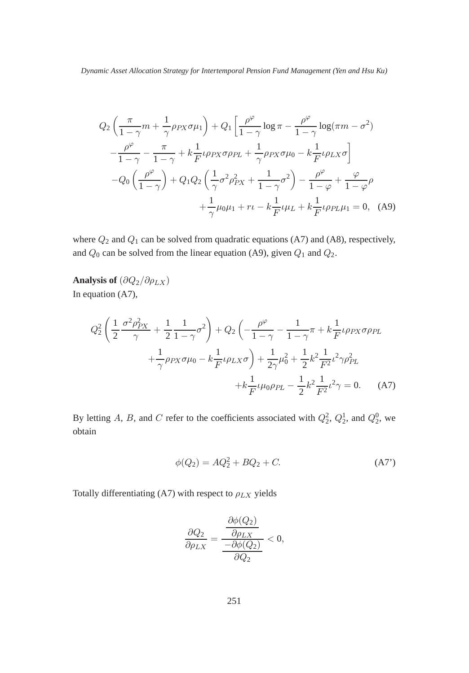$$
Q_2\left(\frac{\pi}{1-\gamma}m+\frac{1}{\gamma}\rho_{PX}\sigma\mu_1\right)+Q_1\left[\frac{\rho^{\varphi}}{1-\gamma}\log\pi-\frac{\rho^{\varphi}}{1-\gamma}\log(\pi m-\sigma^2)\right.-\frac{\rho^{\varphi}}{1-\gamma}-\frac{\pi}{1-\gamma}+k\frac{1}{F}\iota\rho_{PX}\sigma\rho_{PL}+\frac{1}{\gamma}\rho_{PX}\sigma\mu_0-k\frac{1}{F}\iota\rho_{LX}\sigma\right]-Q_0\left(\frac{\rho^{\varphi}}{1-\gamma}\right)+Q_1Q_2\left(\frac{1}{\gamma}\sigma^2\rho_{PX}^2+\frac{1}{1-\gamma}\sigma^2\right)-\frac{\rho^{\varphi}}{1-\varphi}+\frac{\varphi}{1-\varphi}\rho+\frac{1}{\gamma}\mu_0\mu_1+r\iota-k\frac{1}{F}\iota\mu_L+k\frac{1}{F}\iota\rho_{PL}\mu_1=0,
$$
 (A9)

where  $Q_2$  and  $Q_1$  can be solved from quadratic equations (A7) and (A8), respectively, and  $Q_0$  can be solved from the linear equation (A9), given  $Q_1$  and  $Q_2$ .

**Analysis of**  $(\partial Q_2/\partial \rho_{LX})$ In equation (A7),

$$
Q_2^2 \left( \frac{1}{2} \frac{\sigma^2 \rho_{PX}^2}{\gamma} + \frac{1}{2} \frac{1}{1 - \gamma} \sigma^2 \right) + Q_2 \left( -\frac{\rho^{\varphi}}{1 - \gamma} - \frac{1}{1 - \gamma} \pi + k \frac{1}{F} \iota \rho_{PX} \sigma \rho_{PL} + \frac{1}{\gamma} \rho_{PX} \sigma \mu_0 - k \frac{1}{F} \iota \rho_{LX} \sigma \right) + \frac{1}{2\gamma} \mu_0^2 + \frac{1}{2} k^2 \frac{1}{F^2} \iota^2 \gamma \rho_{PL}^2 + k \frac{1}{F} \iota \mu_0 \rho_{PL} - \frac{1}{2} k^2 \frac{1}{F^2} \iota^2 \gamma = 0.
$$
 (A7)

By letting A, B, and C refer to the coefficients associated with  $Q_2^2$ ,  $Q_2^1$ , and  $Q_2^0$ , we obtain

$$
\phi(Q_2) = AQ_2^2 + BQ_2 + C.
$$
 (A7')

Totally differentiating (A7) with respect to  $\rho_{LX}$  yields

$$
\frac{\partial Q_2}{\partial \rho_{LX}} = \frac{\frac{\partial \phi(Q_2)}{\partial \rho_{LX}}}{\frac{-\partial \phi(Q_2)}{\partial Q_2}} < 0,
$$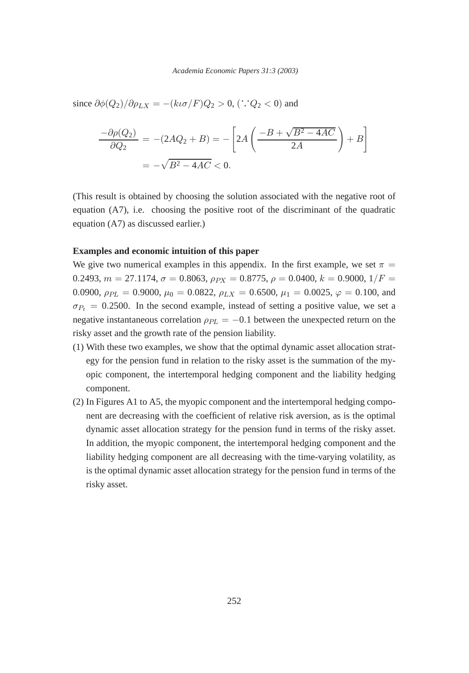since  $\partial \phi(Q_2) / \partial \rho_{LX} = -(k\iota \sigma/F)Q_2 > 0$ , ('.' $Q_2 < 0$ ) and

$$
\frac{-\partial \rho(Q_2)}{\partial Q_2} = -(2AQ_2 + B) = -\left[2A\left(\frac{-B + \sqrt{B^2 - 4AC}}{2A}\right) + B\right]
$$
  
= -\sqrt{B^2 - 4AC} < 0.

(This result is obtained by choosing the solution associated with the negative root of equation (A7), i.e. choosing the positive root of the discriminant of the quadratic equation (A7) as discussed earlier.)

### **Examples and economic intuition of this paper**

We give two numerical examples in this appendix. In the first example, we set  $\pi$  = 0.2493,  $m = 27.1174$ ,  $\sigma = 0.8063$ ,  $\rho_{PX} = 0.8775$ ,  $\rho = 0.0400$ ,  $k = 0.9000$ ,  $1/F =$ 0.0900,  $\rho_{PL} = 0.9000$ ,  $\mu_0 = 0.0822$ ,  $\rho_{LX} = 0.6500$ ,  $\mu_1 = 0.0025$ ,  $\varphi = 0.100$ , and  $\sigma_{P_t} = 0.2500$ . In the second example, instead of setting a positive value, we set a negative instantaneous correlation  $\rho_{PL} = -0.1$  between the unexpected return on the risky asset and the growth rate of the pension liability.

- (1) With these two examples, we show that the optimal dynamic asset allocation strategy for the pension fund in relation to the risky asset is the summation of the myopic component, the intertemporal hedging component and the liability hedging component.
- (2) In Figures A1 to A5, the myopic component and the intertemporal hedging component are decreasing with the coefficient of relative risk aversion, as is the optimal dynamic asset allocation strategy for the pension fund in terms of the risky asset. In addition, the myopic component, the intertemporal hedging component and the liability hedging component are all decreasing with the time-varying volatility, as is the optimal dynamic asset allocation strategy for the pension fund in terms of the risky asset.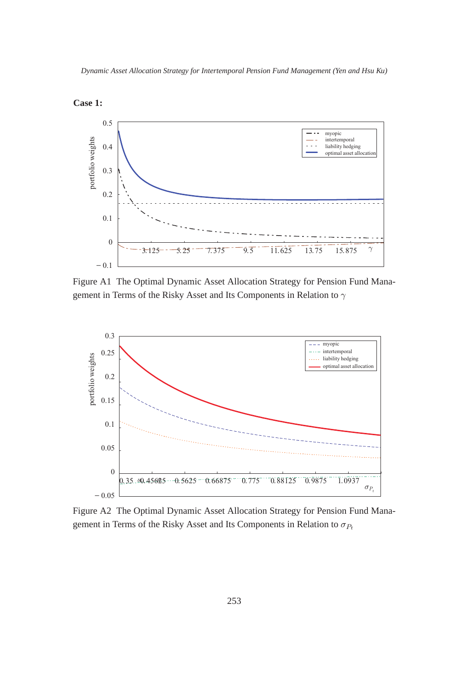



Figure A1 The Optimal Dynamic Asset Allocation Strategy for Pension Fund Management in Terms of the Risky Asset and Its Components in Relation to  $\gamma$ 



Figure A2 The Optimal Dynamic Asset Allocation Strategy for Pension Fund Management in Terms of the Risky Asset and Its Components in Relation to  $\sigma_{P_t}$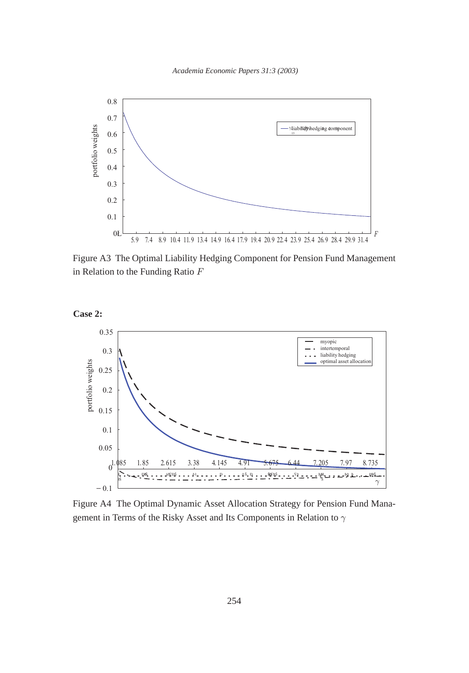

Figure A3 The Optimal Liability Hedging Component for Pension Fund Management in Relation to the Funding Ratio F





Figure A4 The Optimal Dynamic Asset Allocation Strategy for Pension Fund Management in Terms of the Risky Asset and Its Components in Relation to  $\gamma$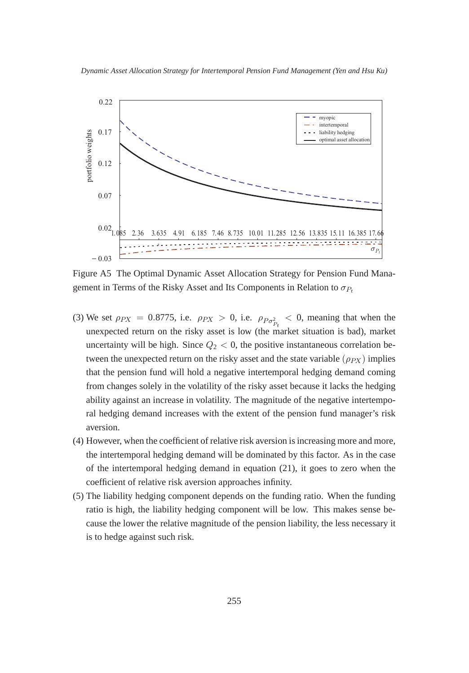

Figure A5 The Optimal Dynamic Asset Allocation Strategy for Pension Fund Management in Terms of the Risky Asset and Its Components in Relation to  $\sigma_{P_t}$ 

- (3) We set  $\rho_{PX} = 0.8775$ , i.e.  $\rho_{PX} > 0$ , i.e.  $\rho_{Po_{P_t}^2} < 0$ , meaning that when the unexpected return on the risky asset is low (the market situation is bad), market uncertainty will be high. Since  $Q_2 < 0$ , the positive instantaneous correlation between the unexpected return on the risky asset and the state variable  $(\rho_{PX})$  implies that the pension fund will hold a negative intertemporal hedging demand coming from changes solely in the volatility of the risky asset because it lacks the hedging ability against an increase in volatility. The magnitude of the negative intertemporal hedging demand increases with the extent of the pension fund manager's risk aversion.
- (4) However, when the coefficient of relative risk aversion is increasing more and more, the intertemporal hedging demand will be dominated by this factor. As in the case of the intertemporal hedging demand in equation (21), it goes to zero when the coefficient of relative risk aversion approaches infinity.
- (5) The liability hedging component depends on the funding ratio. When the funding ratio is high, the liability hedging component will be low. This makes sense because the lower the relative magnitude of the pension liability, the less necessary it is to hedge against such risk.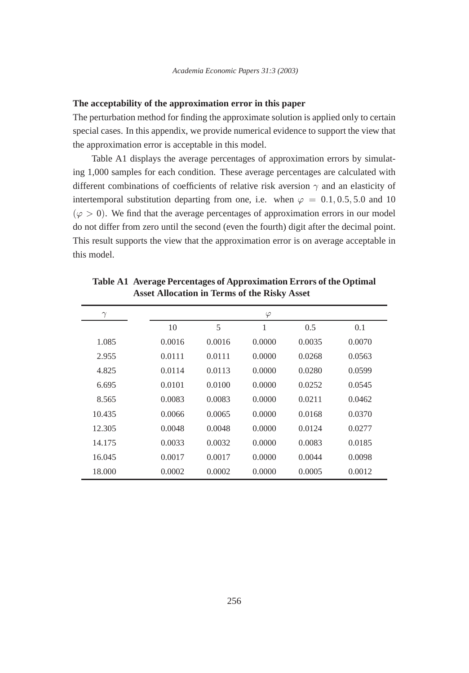## **The acceptability of the approximation error in this paper**

The perturbation method for finding the approximate solution is applied only to certain special cases. In this appendix, we provide numerical evidence to support the view that the approximation error is acceptable in this model.

Table A1 displays the average percentages of approximation errors by simulating 1,000 samples for each condition. These average percentages are calculated with different combinations of coefficients of relative risk aversion  $\gamma$  and an elasticity of intertemporal substitution departing from one, i.e. when  $\varphi = 0.1, 0.5, 5.0$  and 10  $(\varphi > 0)$ . We find that the average percentages of approximation errors in our model do not differ from zero until the second (even the fourth) digit after the decimal point. This result supports the view that the approximation error is on average acceptable in this model.

| $\gamma$ |        |        | $\varphi$ |        |        |
|----------|--------|--------|-----------|--------|--------|
|          | 10     | 5      | 1         | 0.5    | 0.1    |
| 1.085    | 0.0016 | 0.0016 | 0.0000    | 0.0035 | 0.0070 |
| 2.955    | 0.0111 | 0.0111 | 0.0000    | 0.0268 | 0.0563 |
| 4.825    | 0.0114 | 0.0113 | 0.0000    | 0.0280 | 0.0599 |
| 6.695    | 0.0101 | 0.0100 | 0.0000    | 0.0252 | 0.0545 |
| 8.565    | 0.0083 | 0.0083 | 0.0000    | 0.0211 | 0.0462 |
| 10.435   | 0.0066 | 0.0065 | 0.0000    | 0.0168 | 0.0370 |
| 12.305   | 0.0048 | 0.0048 | 0.0000    | 0.0124 | 0.0277 |
| 14.175   | 0.0033 | 0.0032 | 0.0000    | 0.0083 | 0.0185 |
| 16.045   | 0.0017 | 0.0017 | 0.0000    | 0.0044 | 0.0098 |
| 18.000   | 0.0002 | 0.0002 | 0.0000    | 0.0005 | 0.0012 |

**Table A1 Average Percentages of Approximation Errors of the Optimal Asset Allocation in Terms of the Risky Asset**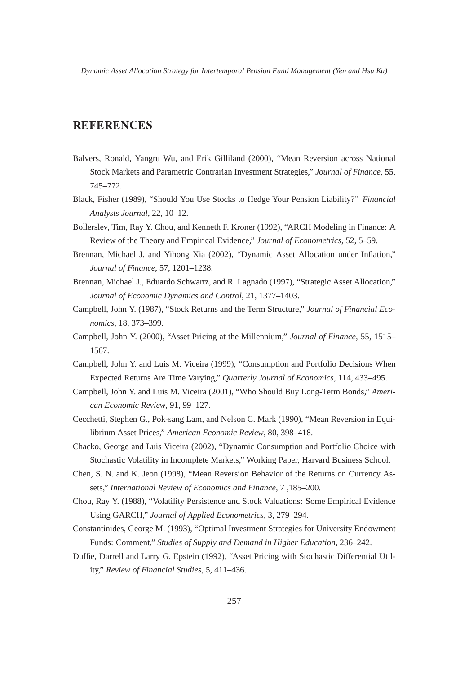- Balvers, Ronald, Yangru Wu, and Erik Gilliland (2000), "Mean Reversion across National Stock Markets and Parametric Contrarian Investment Strategies," *Journal of Finance*, 55, 745–772.
- Black, Fisher (1989), "Should You Use Stocks to Hedge Your Pension Liability?" *Financial Analysts Journal*, 22, 10–12.
- Bollerslev, Tim, Ray Y. Chou, and Kenneth F. Kroner (1992), "ARCH Modeling in Finance: A Review of the Theory and Empirical Evidence," *Journal of Econometrics*, 52, 5–59.
- Brennan, Michael J. and Yihong Xia (2002), "Dynamic Asset Allocation under Inflation," *Journal of Finance*, 57, 1201–1238.
- Brennan, Michael J., Eduardo Schwartz, and R. Lagnado (1997), "Strategic Asset Allocation," *Journal of Economic Dynamics and Control*, 21, 1377–1403.
- Campbell, John Y. (1987), "Stock Returns and the Term Structure," *Journal of Financial Economics*, 18, 373–399.
- Campbell, John Y. (2000), "Asset Pricing at the Millennium," *Journal of Finance*, 55, 1515– 1567.
- Campbell, John Y. and Luis M. Viceira (1999), "Consumption and Portfolio Decisions When Expected Returns Are Time Varying," *Quarterly Journal of Economics*, 114, 433–495.
- Campbell, John Y. and Luis M. Viceira (2001), "Who Should Buy Long-Term Bonds," *American Economic Review*, 91, 99–127.
- Cecchetti, Stephen G., Pok-sang Lam, and Nelson C. Mark (1990), "Mean Reversion in Equilibrium Asset Prices," *American Economic Review*, 80, 398–418.
- Chacko, George and Luis Viceira (2002), "Dynamic Consumption and Portfolio Choice with Stochastic Volatility in Incomplete Markets," Working Paper, Harvard Business School.
- Chen, S. N. and K. Jeon (1998), "Mean Reversion Behavior of the Returns on Currency Assets," *International Review of Economics and Finance*, 7 ,185–200.
- Chou, Ray Y. (1988), "Volatility Persistence and Stock Valuations: Some Empirical Evidence Using GARCH," *Journal of Applied Econometrics*, 3, 279–294.
- Constantinides, George M. (1993), "Optimal Investment Strategies for University Endowment Funds: Comment," *Studies of Supply and Demand in Higher Education*, 236–242.
- Duffie, Darrell and Larry G. Epstein (1992), "Asset Pricing with Stochastic Differential Utility," *Review of Financial Studies*, 5, 411–436.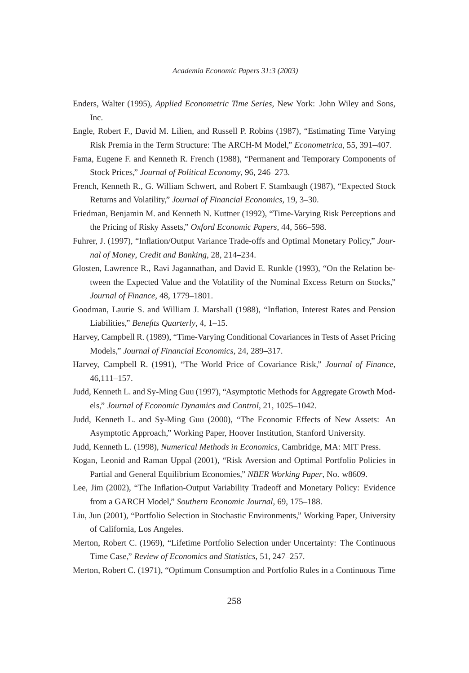- Enders, Walter (1995), *Applied Econometric Time Series*, New York: John Wiley and Sons, Inc.
- Engle, Robert F., David M. Lilien, and Russell P. Robins (1987), "Estimating Time Varying Risk Premia in the Term Structure: The ARCH-M Model," *Econometrica*, 55, 391–407.
- Fama, Eugene F. and Kenneth R. French (1988), "Permanent and Temporary Components of Stock Prices," *Journal of Political Economy*, 96, 246–273.
- French, Kenneth R., G. William Schwert, and Robert F. Stambaugh (1987), "Expected Stock Returns and Volatility," *Journal of Financial Economics*, 19, 3–30.
- Friedman, Benjamin M. and Kenneth N. Kuttner (1992), "Time-Varying Risk Perceptions and the Pricing of Risky Assets," *Oxford Economic Papers*, 44, 566–598.
- Fuhrer, J. (1997), "Inflation/Output Variance Trade-offs and Optimal Monetary Policy," *Journal of Money*, *Credit and Banking*, 28, 214–234.
- Glosten, Lawrence R., Ravi Jagannathan, and David E. Runkle (1993), "On the Relation between the Expected Value and the Volatility of the Nominal Excess Return on Stocks," *Journal of Finance*, 48, 1779–1801.
- Goodman, Laurie S. and William J. Marshall (1988), "Inflation, Interest Rates and Pension Liabilities," *Benefits Quarterly*, 4, 1–15.
- Harvey, Campbell R. (1989), "Time-Varying Conditional Covariances in Tests of Asset Pricing Models," *Journal of Financial Economics*, 24, 289–317.
- Harvey, Campbell R. (1991), "The World Price of Covariance Risk," *Journal of Finance*, 46,111–157.
- Judd, Kenneth L. and Sy-Ming Guu (1997), "Asymptotic Methods for Aggregate Growth Models," *Journal of Economic Dynamics and Control*, 21, 1025–1042.
- Judd, Kenneth L. and Sy-Ming Guu (2000), "The Economic Effects of New Assets: An Asymptotic Approach," Working Paper, Hoover Institution, Stanford University.
- Judd, Kenneth L. (1998), *Numerical Methods in Economics*, Cambridge, MA: MIT Press.
- Kogan, Leonid and Raman Uppal (2001), "Risk Aversion and Optimal Portfolio Policies in Partial and General Equilibrium Economies," *NBER Working Paper*, No. w8609.
- Lee, Jim (2002), "The Inflation-Output Variability Tradeoff and Monetary Policy: Evidence from a GARCH Model," *Southern Economic Journal*, 69, 175–188.
- Liu, Jun (2001), "Portfolio Selection in Stochastic Environments," Working Paper, University of California, Los Angeles.
- Merton, Robert C. (1969), "Lifetime Portfolio Selection under Uncertainty: The Continuous Time Case," *Review of Economics and Statistics*, 51, 247–257.
- Merton, Robert C. (1971), "Optimum Consumption and Portfolio Rules in a Continuous Time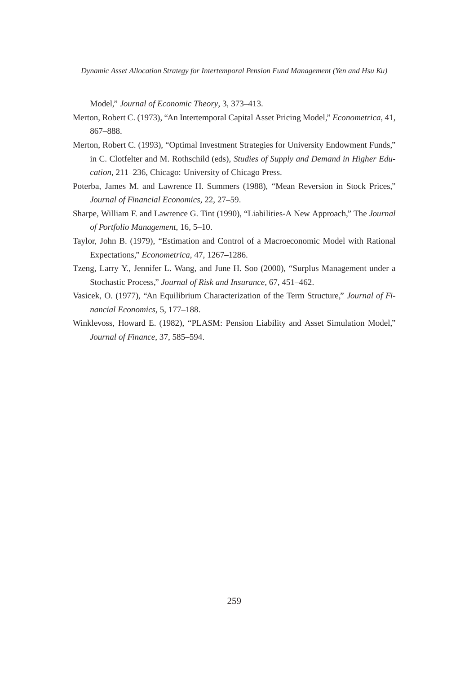Model," *Journal of Economic Theory*, 3, 373–413.

- Merton, Robert C. (1973), "An Intertemporal Capital Asset Pricing Model," *Econometrica*, 41, 867–888.
- Merton, Robert C. (1993), "Optimal Investment Strategies for University Endowment Funds," in C. Clotfelter and M. Rothschild (eds), *Studies of Supply and Demand in Higher Education*, 211–236, Chicago: University of Chicago Press.
- Poterba, James M. and Lawrence H. Summers (1988), "Mean Reversion in Stock Prices," *Journal of Financial Economics*, 22, 27–59.
- Sharpe, William F. and Lawrence G. Tint (1990), "Liabilities-A New Approach," The *Journal of Portfolio Management*, 16, 5–10.
- Taylor, John B. (1979), "Estimation and Control of a Macroeconomic Model with Rational Expectations," *Econometrica*, 47, 1267–1286.
- Tzeng, Larry Y., Jennifer L. Wang, and June H. Soo (2000), "Surplus Management under a Stochastic Process," *Journal of Risk and Insurance*, 67, 451–462.
- Vasicek, O. (1977), "An Equilibrium Characterization of the Term Structure," *Journal of Financial Economics*, 5, 177–188.
- Winklevoss, Howard E. (1982), "PLASM: Pension Liability and Asset Simulation Model," *Journal of Finance*, 37, 585–594.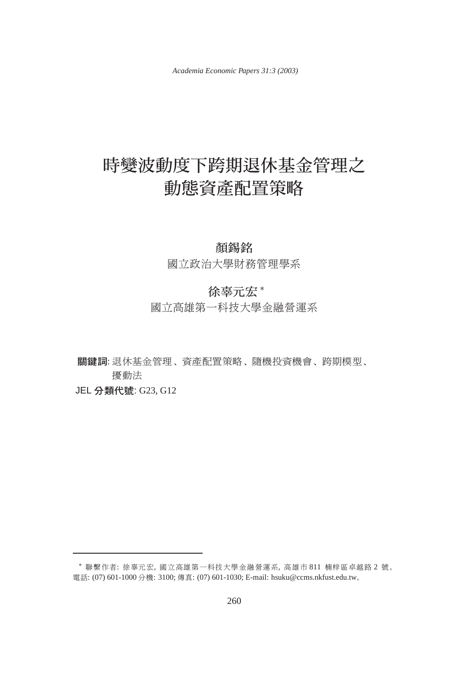*Academia Economic Papers 31:3 (2003)*

# 動態資產配置策略

# 顏錫銘

國立政治大學財務管理學系

# 徐辜元宏\*

國立高雄第一科技大學金融營運系

關鍵詞: 退休基金管理、資產配置策略、隨機投資機會、跨期模型、 擾動法

JEL 分類代號: G23, G12

 $^*$  聯繫作者: 徐辜元宏, 國立高雄第一科技大學金融營運系, 高雄市 811 楠梓區卓越路2 號。 電話: (07) 601-1000 分機: 3100; 傳真: (07) 601-1030; E-mail: hsuku@ccms.nkfust.edu.tw。